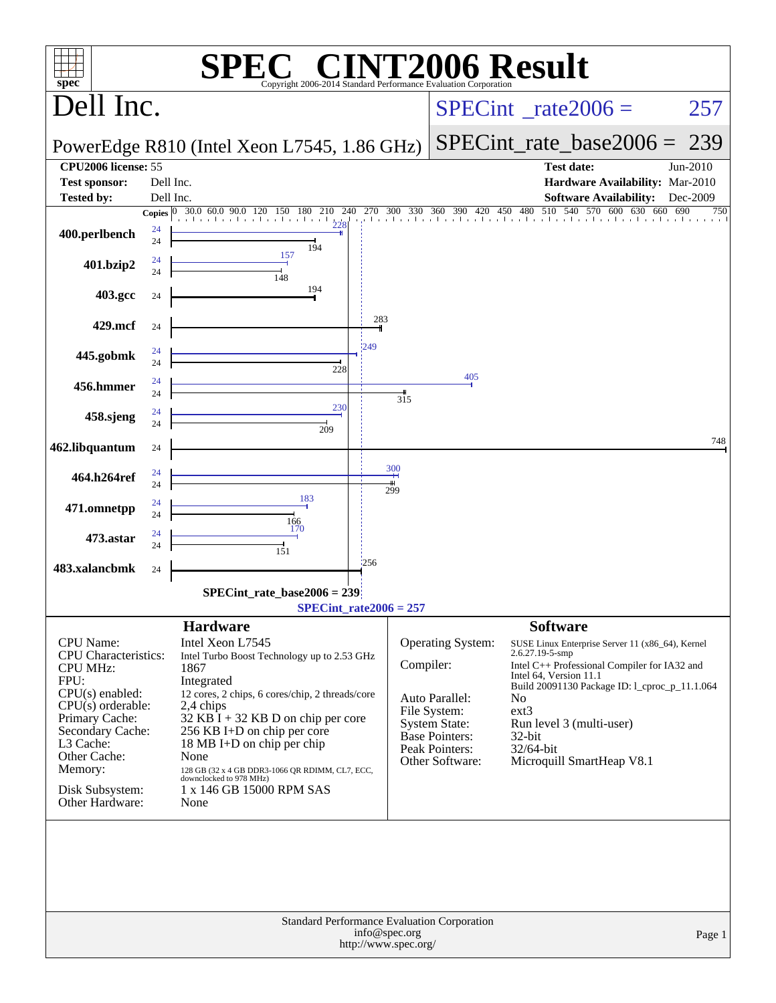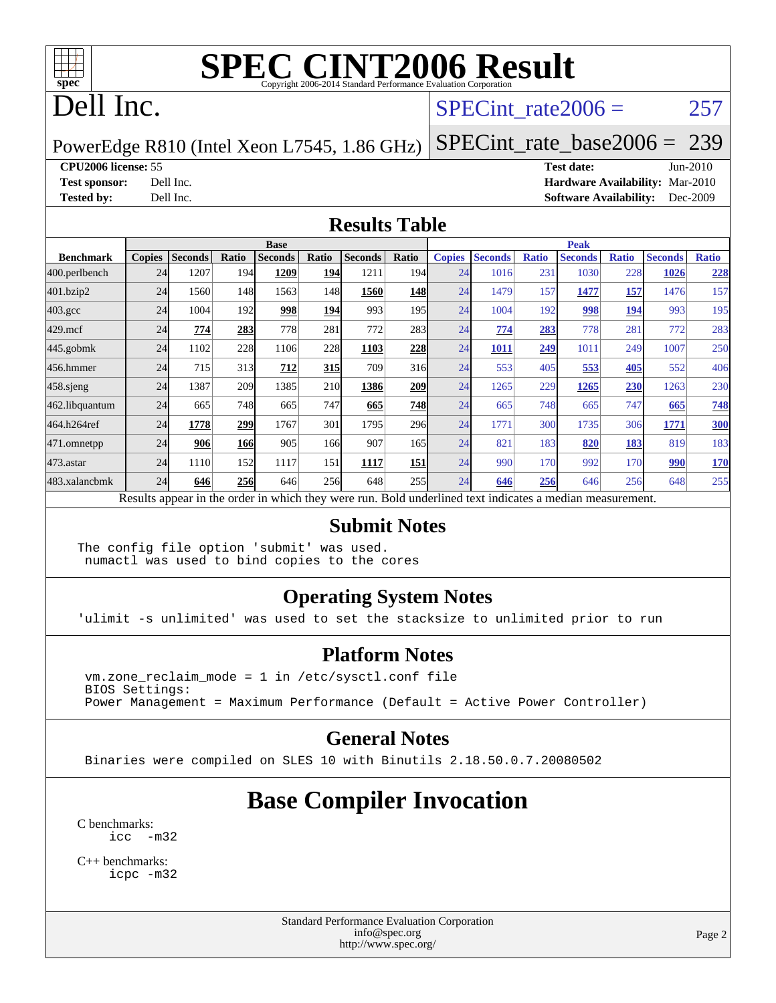

## Dell Inc.

#### SPECint rate $2006 = 257$

PowerEdge R810 (Intel Xeon L7545, 1.86 GHz)

[SPECint\\_rate\\_base2006 =](http://www.spec.org/auto/cpu2006/Docs/result-fields.html#SPECintratebase2006) 239

#### **[CPU2006 license:](http://www.spec.org/auto/cpu2006/Docs/result-fields.html#CPU2006license)** 55 **[Test date:](http://www.spec.org/auto/cpu2006/Docs/result-fields.html#Testdate)** Jun-2010

**[Test sponsor:](http://www.spec.org/auto/cpu2006/Docs/result-fields.html#Testsponsor)** Dell Inc. **[Hardware Availability:](http://www.spec.org/auto/cpu2006/Docs/result-fields.html#HardwareAvailability)** Mar-2010 **[Tested by:](http://www.spec.org/auto/cpu2006/Docs/result-fields.html#Testedby)** Dell Inc. **[Software Availability:](http://www.spec.org/auto/cpu2006/Docs/result-fields.html#SoftwareAvailability)** Dec-2009

#### **[Results Table](http://www.spec.org/auto/cpu2006/Docs/result-fields.html#ResultsTable)**

|                  | <b>Base</b>   |                |            |                |            |                                                                                                          |       | <b>Peak</b>   |                |              |                |              |                |              |
|------------------|---------------|----------------|------------|----------------|------------|----------------------------------------------------------------------------------------------------------|-------|---------------|----------------|--------------|----------------|--------------|----------------|--------------|
| <b>Benchmark</b> | <b>Copies</b> | <b>Seconds</b> | Ratio      | <b>Seconds</b> | Ratio      | <b>Seconds</b>                                                                                           | Ratio | <b>Copies</b> | <b>Seconds</b> | <b>Ratio</b> | <b>Seconds</b> | <b>Ratio</b> | <b>Seconds</b> | <b>Ratio</b> |
| 400.perlbench    | 24            | 1207           | 194        | 1209           | 194        | 1211                                                                                                     | 194   | 24            | 1016           | 231          | 1030           | 228          | 1026           | 228          |
| 401.bzip2        | 24            | 1560           | 148        | 1563           | 148        | 1560                                                                                                     | 148   | 24            | 1479           | 157          | 1477           | 157          | 1476           | 157          |
| $403.\text{gcc}$ | 24            | 1004           | 192        | 998            | 194        | 993                                                                                                      | 195   | 24            | 1004           | 192          | 998            | 194          | 993            | 195          |
| $429$ .mcf       | 24            | 774            | 283        | 778            | 281        | 772                                                                                                      | 283   | 24            | 774            | 283          | 778            | 281          | 772            | 283          |
| $445$ .gobmk     | 24            | 1102           | 228        | 1106           | 228        | 1103                                                                                                     | 228   | 24            | 1011           | 249          | 1011           | 249          | 1007           | 250          |
| 456.hmmer        | 24            | 715            | 313        | 712            | 315        | 709                                                                                                      | 316   | 24            | 553            | 405          | 553            | 405          | 552            | 406          |
| $458$ .sjeng     | 24            | 1387           | 209        | 1385           | <b>210</b> | 1386                                                                                                     | 209   | 24            | 1265           | 229          | 1265           | 230          | 1263           | 230          |
| 462.libquantum   | 24            | 665            | 748        | 665            | 747        | 665                                                                                                      | 748   | 24            | 665            | 748          | 665            | 747          | 665            | 748          |
| 464.h264ref      | 24            | 1778           | 299        | 1767           | 301        | 1795                                                                                                     | 296   | 24            | 1771           | 300          | 1735           | 306          | 1771           | <b>300</b>   |
| 471.omnetpp      | 24            | 906            | <b>166</b> | 905            | 166        | 907                                                                                                      | 165   | 24            | 821            | 183          | 820            | 183          | 819            | 183          |
| $473$ . astar    | 24            | 1110           | 152        | 1117           | 151        | 1117                                                                                                     | 151   | 24            | 990            | 170          | 992            | 170          | 990            | <b>170</b>   |
| 483.xalancbmk    | 24            | 646            | 256        | 646            | 256        | 648                                                                                                      | 255   | 24            | 646            | 256          | 646            | 256          | 648            | 255          |
|                  |               |                |            |                |            | Results appear in the order in which they were run. Bold underlined text indicates a median measurement. |       |               |                |              |                |              |                |              |

#### **[Submit Notes](http://www.spec.org/auto/cpu2006/Docs/result-fields.html#SubmitNotes)**

The config file option 'submit' was used. numactl was used to bind copies to the cores

#### **[Operating System Notes](http://www.spec.org/auto/cpu2006/Docs/result-fields.html#OperatingSystemNotes)**

'ulimit -s unlimited' was used to set the stacksize to unlimited prior to run

#### **[Platform Notes](http://www.spec.org/auto/cpu2006/Docs/result-fields.html#PlatformNotes)**

 vm.zone\_reclaim\_mode = 1 in /etc/sysctl.conf file BIOS Settings: Power Management = Maximum Performance (Default = Active Power Controller)

#### **[General Notes](http://www.spec.org/auto/cpu2006/Docs/result-fields.html#GeneralNotes)**

Binaries were compiled on SLES 10 with Binutils 2.18.50.0.7.20080502

## **[Base Compiler Invocation](http://www.spec.org/auto/cpu2006/Docs/result-fields.html#BaseCompilerInvocation)**

[C benchmarks](http://www.spec.org/auto/cpu2006/Docs/result-fields.html#Cbenchmarks): [icc -m32](http://www.spec.org/cpu2006/results/res2010q3/cpu2006-20100803-12832.flags.html#user_CCbase_intel_icc_32bit_5ff4a39e364c98233615fdd38438c6f2)

[C++ benchmarks:](http://www.spec.org/auto/cpu2006/Docs/result-fields.html#CXXbenchmarks) [icpc -m32](http://www.spec.org/cpu2006/results/res2010q3/cpu2006-20100803-12832.flags.html#user_CXXbase_intel_icpc_32bit_4e5a5ef1a53fd332b3c49e69c3330699)

> Standard Performance Evaluation Corporation [info@spec.org](mailto:info@spec.org) <http://www.spec.org/>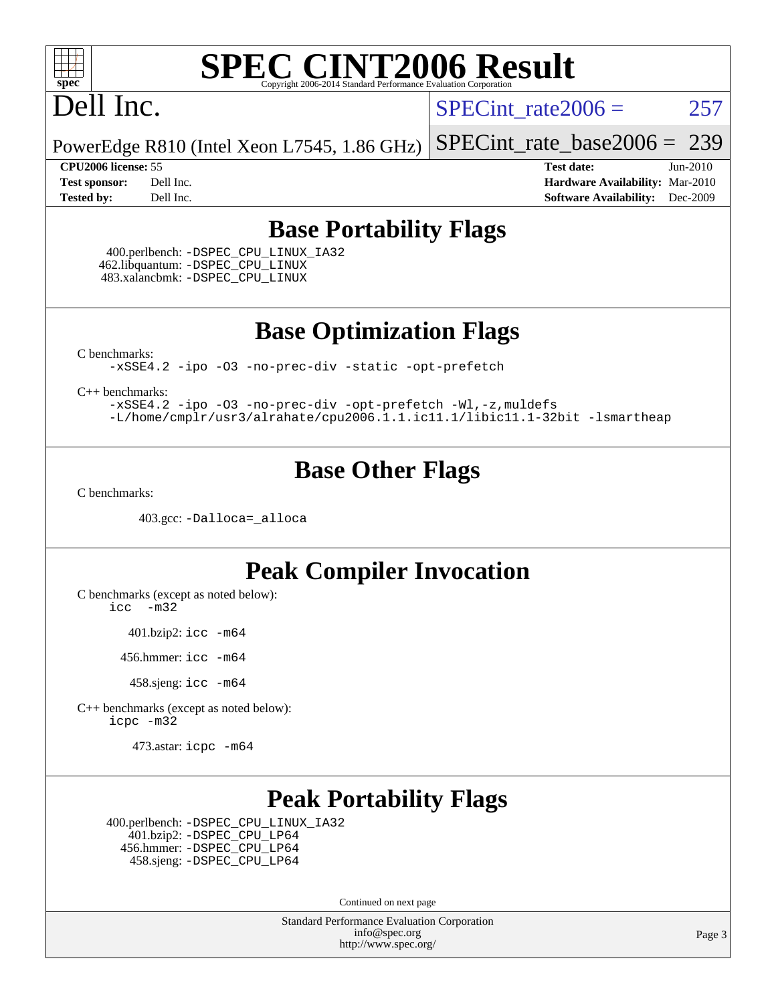

# Dell Inc.

SPECint rate $2006 = 257$ 

[SPECint\\_rate\\_base2006 =](http://www.spec.org/auto/cpu2006/Docs/result-fields.html#SPECintratebase2006) 239

PowerEdge R810 (Intel Xeon L7545, 1.86 GHz)

**[CPU2006 license:](http://www.spec.org/auto/cpu2006/Docs/result-fields.html#CPU2006license)** 55 **[Test date:](http://www.spec.org/auto/cpu2006/Docs/result-fields.html#Testdate)** Jun-2010 **[Test sponsor:](http://www.spec.org/auto/cpu2006/Docs/result-fields.html#Testsponsor)** Dell Inc. **[Hardware Availability:](http://www.spec.org/auto/cpu2006/Docs/result-fields.html#HardwareAvailability)** Mar-2010 **[Tested by:](http://www.spec.org/auto/cpu2006/Docs/result-fields.html#Testedby)** Dell Inc. **[Software Availability:](http://www.spec.org/auto/cpu2006/Docs/result-fields.html#SoftwareAvailability)** Dec-2009

### **[Base Portability Flags](http://www.spec.org/auto/cpu2006/Docs/result-fields.html#BasePortabilityFlags)**

 400.perlbench: [-DSPEC\\_CPU\\_LINUX\\_IA32](http://www.spec.org/cpu2006/results/res2010q3/cpu2006-20100803-12832.flags.html#b400.perlbench_baseCPORTABILITY_DSPEC_CPU_LINUX_IA32) 462.libquantum: [-DSPEC\\_CPU\\_LINUX](http://www.spec.org/cpu2006/results/res2010q3/cpu2006-20100803-12832.flags.html#b462.libquantum_baseCPORTABILITY_DSPEC_CPU_LINUX) 483.xalancbmk: [-DSPEC\\_CPU\\_LINUX](http://www.spec.org/cpu2006/results/res2010q3/cpu2006-20100803-12832.flags.html#b483.xalancbmk_baseCXXPORTABILITY_DSPEC_CPU_LINUX)

**[Base Optimization Flags](http://www.spec.org/auto/cpu2006/Docs/result-fields.html#BaseOptimizationFlags)**

[C benchmarks](http://www.spec.org/auto/cpu2006/Docs/result-fields.html#Cbenchmarks):

[-xSSE4.2](http://www.spec.org/cpu2006/results/res2010q3/cpu2006-20100803-12832.flags.html#user_CCbase_f-xSSE42_f91528193cf0b216347adb8b939d4107) [-ipo](http://www.spec.org/cpu2006/results/res2010q3/cpu2006-20100803-12832.flags.html#user_CCbase_f-ipo) [-O3](http://www.spec.org/cpu2006/results/res2010q3/cpu2006-20100803-12832.flags.html#user_CCbase_f-O3) [-no-prec-div](http://www.spec.org/cpu2006/results/res2010q3/cpu2006-20100803-12832.flags.html#user_CCbase_f-no-prec-div) [-static](http://www.spec.org/cpu2006/results/res2010q3/cpu2006-20100803-12832.flags.html#user_CCbase_f-static) [-opt-prefetch](http://www.spec.org/cpu2006/results/res2010q3/cpu2006-20100803-12832.flags.html#user_CCbase_f-opt-prefetch)

[C++ benchmarks:](http://www.spec.org/auto/cpu2006/Docs/result-fields.html#CXXbenchmarks)

[-xSSE4.2](http://www.spec.org/cpu2006/results/res2010q3/cpu2006-20100803-12832.flags.html#user_CXXbase_f-xSSE42_f91528193cf0b216347adb8b939d4107) [-ipo](http://www.spec.org/cpu2006/results/res2010q3/cpu2006-20100803-12832.flags.html#user_CXXbase_f-ipo) [-O3](http://www.spec.org/cpu2006/results/res2010q3/cpu2006-20100803-12832.flags.html#user_CXXbase_f-O3) [-no-prec-div](http://www.spec.org/cpu2006/results/res2010q3/cpu2006-20100803-12832.flags.html#user_CXXbase_f-no-prec-div) [-opt-prefetch](http://www.spec.org/cpu2006/results/res2010q3/cpu2006-20100803-12832.flags.html#user_CXXbase_f-opt-prefetch) [-Wl,-z,muldefs](http://www.spec.org/cpu2006/results/res2010q3/cpu2006-20100803-12832.flags.html#user_CXXbase_link_force_multiple1_74079c344b956b9658436fd1b6dd3a8a) [-L/home/cmplr/usr3/alrahate/cpu2006.1.1.ic11.1/libic11.1-32bit -lsmartheap](http://www.spec.org/cpu2006/results/res2010q3/cpu2006-20100803-12832.flags.html#user_CXXbase_SmartHeap_d86dffe4a79b79ef8890d5cce17030c3)

### **[Base Other Flags](http://www.spec.org/auto/cpu2006/Docs/result-fields.html#BaseOtherFlags)**

[C benchmarks](http://www.spec.org/auto/cpu2006/Docs/result-fields.html#Cbenchmarks):

403.gcc: [-Dalloca=\\_alloca](http://www.spec.org/cpu2006/results/res2010q3/cpu2006-20100803-12832.flags.html#b403.gcc_baseEXTRA_CFLAGS_Dalloca_be3056838c12de2578596ca5467af7f3)

### **[Peak Compiler Invocation](http://www.spec.org/auto/cpu2006/Docs/result-fields.html#PeakCompilerInvocation)**

[C benchmarks \(except as noted below\)](http://www.spec.org/auto/cpu2006/Docs/result-fields.html#Cbenchmarksexceptasnotedbelow):

[icc -m32](http://www.spec.org/cpu2006/results/res2010q3/cpu2006-20100803-12832.flags.html#user_CCpeak_intel_icc_32bit_5ff4a39e364c98233615fdd38438c6f2)

401.bzip2: [icc -m64](http://www.spec.org/cpu2006/results/res2010q3/cpu2006-20100803-12832.flags.html#user_peakCCLD401_bzip2_intel_icc_64bit_bda6cc9af1fdbb0edc3795bac97ada53)

456.hmmer: [icc -m64](http://www.spec.org/cpu2006/results/res2010q3/cpu2006-20100803-12832.flags.html#user_peakCCLD456_hmmer_intel_icc_64bit_bda6cc9af1fdbb0edc3795bac97ada53)

458.sjeng: [icc -m64](http://www.spec.org/cpu2006/results/res2010q3/cpu2006-20100803-12832.flags.html#user_peakCCLD458_sjeng_intel_icc_64bit_bda6cc9af1fdbb0edc3795bac97ada53)

[C++ benchmarks \(except as noted below\):](http://www.spec.org/auto/cpu2006/Docs/result-fields.html#CXXbenchmarksexceptasnotedbelow) [icpc -m32](http://www.spec.org/cpu2006/results/res2010q3/cpu2006-20100803-12832.flags.html#user_CXXpeak_intel_icpc_32bit_4e5a5ef1a53fd332b3c49e69c3330699)

473.astar: [icpc -m64](http://www.spec.org/cpu2006/results/res2010q3/cpu2006-20100803-12832.flags.html#user_peakCXXLD473_astar_intel_icpc_64bit_fc66a5337ce925472a5c54ad6a0de310)

## **[Peak Portability Flags](http://www.spec.org/auto/cpu2006/Docs/result-fields.html#PeakPortabilityFlags)**

 400.perlbench: [-DSPEC\\_CPU\\_LINUX\\_IA32](http://www.spec.org/cpu2006/results/res2010q3/cpu2006-20100803-12832.flags.html#b400.perlbench_peakCPORTABILITY_DSPEC_CPU_LINUX_IA32) 401.bzip2: [-DSPEC\\_CPU\\_LP64](http://www.spec.org/cpu2006/results/res2010q3/cpu2006-20100803-12832.flags.html#suite_peakCPORTABILITY401_bzip2_DSPEC_CPU_LP64) 456.hmmer: [-DSPEC\\_CPU\\_LP64](http://www.spec.org/cpu2006/results/res2010q3/cpu2006-20100803-12832.flags.html#suite_peakCPORTABILITY456_hmmer_DSPEC_CPU_LP64) 458.sjeng: [-DSPEC\\_CPU\\_LP64](http://www.spec.org/cpu2006/results/res2010q3/cpu2006-20100803-12832.flags.html#suite_peakCPORTABILITY458_sjeng_DSPEC_CPU_LP64)

Continued on next page

Standard Performance Evaluation Corporation [info@spec.org](mailto:info@spec.org) <http://www.spec.org/>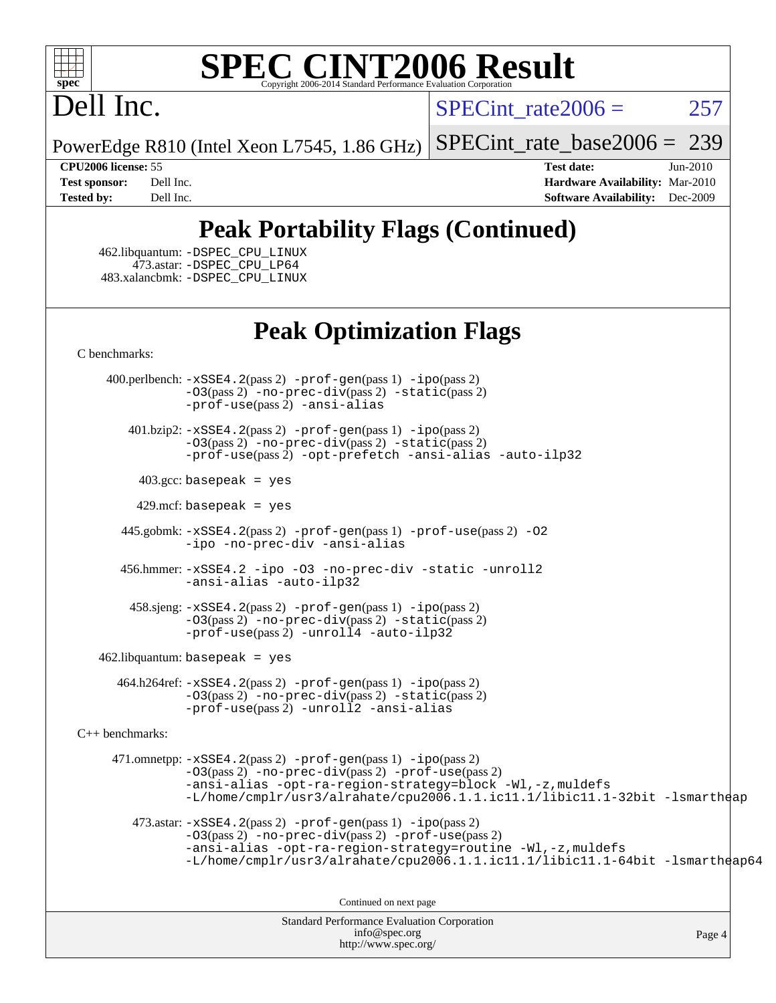

# Dell Inc.

SPECint rate $2006 = 257$ 

PowerEdge R810 (Intel Xeon L7545, 1.86 GHz) [SPECint\\_rate\\_base2006 =](http://www.spec.org/auto/cpu2006/Docs/result-fields.html#SPECintratebase2006) 239

**[CPU2006 license:](http://www.spec.org/auto/cpu2006/Docs/result-fields.html#CPU2006license)** 55 **[Test date:](http://www.spec.org/auto/cpu2006/Docs/result-fields.html#Testdate)** Jun-2010 **[Test sponsor:](http://www.spec.org/auto/cpu2006/Docs/result-fields.html#Testsponsor)** Dell Inc. **[Hardware Availability:](http://www.spec.org/auto/cpu2006/Docs/result-fields.html#HardwareAvailability)** Mar-2010 **[Tested by:](http://www.spec.org/auto/cpu2006/Docs/result-fields.html#Testedby)** Dell Inc. **[Software Availability:](http://www.spec.org/auto/cpu2006/Docs/result-fields.html#SoftwareAvailability)** Dec-2009

## **[Peak Portability Flags \(Continued\)](http://www.spec.org/auto/cpu2006/Docs/result-fields.html#PeakPortabilityFlags)**

 462.libquantum: [-DSPEC\\_CPU\\_LINUX](http://www.spec.org/cpu2006/results/res2010q3/cpu2006-20100803-12832.flags.html#b462.libquantum_peakCPORTABILITY_DSPEC_CPU_LINUX) 473.astar: [-DSPEC\\_CPU\\_LP64](http://www.spec.org/cpu2006/results/res2010q3/cpu2006-20100803-12832.flags.html#suite_peakCXXPORTABILITY473_astar_DSPEC_CPU_LP64) 483.xalancbmk: [-DSPEC\\_CPU\\_LINUX](http://www.spec.org/cpu2006/results/res2010q3/cpu2006-20100803-12832.flags.html#b483.xalancbmk_peakCXXPORTABILITY_DSPEC_CPU_LINUX)

## **[Peak Optimization Flags](http://www.spec.org/auto/cpu2006/Docs/result-fields.html#PeakOptimizationFlags)**

[C benchmarks](http://www.spec.org/auto/cpu2006/Docs/result-fields.html#Cbenchmarks):

 400.perlbench: [-xSSE4.2](http://www.spec.org/cpu2006/results/res2010q3/cpu2006-20100803-12832.flags.html#user_peakPASS2_CFLAGSPASS2_LDCFLAGS400_perlbench_f-xSSE42_f91528193cf0b216347adb8b939d4107)(pass 2) [-prof-gen](http://www.spec.org/cpu2006/results/res2010q3/cpu2006-20100803-12832.flags.html#user_peakPASS1_CFLAGSPASS1_LDCFLAGS400_perlbench_prof_gen_e43856698f6ca7b7e442dfd80e94a8fc)(pass 1) [-ipo](http://www.spec.org/cpu2006/results/res2010q3/cpu2006-20100803-12832.flags.html#user_peakPASS2_CFLAGSPASS2_LDCFLAGS400_perlbench_f-ipo)(pass 2) [-O3](http://www.spec.org/cpu2006/results/res2010q3/cpu2006-20100803-12832.flags.html#user_peakPASS2_CFLAGSPASS2_LDCFLAGS400_perlbench_f-O3)(pass 2) [-no-prec-div](http://www.spec.org/cpu2006/results/res2010q3/cpu2006-20100803-12832.flags.html#user_peakPASS2_CFLAGSPASS2_LDCFLAGS400_perlbench_f-no-prec-div)(pass 2) [-static](http://www.spec.org/cpu2006/results/res2010q3/cpu2006-20100803-12832.flags.html#user_peakPASS2_CFLAGSPASS2_LDCFLAGS400_perlbench_f-static)(pass 2) [-prof-use](http://www.spec.org/cpu2006/results/res2010q3/cpu2006-20100803-12832.flags.html#user_peakPASS2_CFLAGSPASS2_LDCFLAGS400_perlbench_prof_use_bccf7792157ff70d64e32fe3e1250b55)(pass 2) [-ansi-alias](http://www.spec.org/cpu2006/results/res2010q3/cpu2006-20100803-12832.flags.html#user_peakCOPTIMIZE400_perlbench_f-ansi-alias)

 401.bzip2: [-xSSE4.2](http://www.spec.org/cpu2006/results/res2010q3/cpu2006-20100803-12832.flags.html#user_peakPASS2_CFLAGSPASS2_LDCFLAGS401_bzip2_f-xSSE42_f91528193cf0b216347adb8b939d4107)(pass 2) [-prof-gen](http://www.spec.org/cpu2006/results/res2010q3/cpu2006-20100803-12832.flags.html#user_peakPASS1_CFLAGSPASS1_LDCFLAGS401_bzip2_prof_gen_e43856698f6ca7b7e442dfd80e94a8fc)(pass 1) [-ipo](http://www.spec.org/cpu2006/results/res2010q3/cpu2006-20100803-12832.flags.html#user_peakPASS2_CFLAGSPASS2_LDCFLAGS401_bzip2_f-ipo)(pass 2) [-O3](http://www.spec.org/cpu2006/results/res2010q3/cpu2006-20100803-12832.flags.html#user_peakPASS2_CFLAGSPASS2_LDCFLAGS401_bzip2_f-O3)(pass 2) [-no-prec-div](http://www.spec.org/cpu2006/results/res2010q3/cpu2006-20100803-12832.flags.html#user_peakPASS2_CFLAGSPASS2_LDCFLAGS401_bzip2_f-no-prec-div)(pass 2) [-static](http://www.spec.org/cpu2006/results/res2010q3/cpu2006-20100803-12832.flags.html#user_peakPASS2_CFLAGSPASS2_LDCFLAGS401_bzip2_f-static)(pass 2) [-prof-use](http://www.spec.org/cpu2006/results/res2010q3/cpu2006-20100803-12832.flags.html#user_peakPASS2_CFLAGSPASS2_LDCFLAGS401_bzip2_prof_use_bccf7792157ff70d64e32fe3e1250b55)(pass 2) [-opt-prefetch](http://www.spec.org/cpu2006/results/res2010q3/cpu2006-20100803-12832.flags.html#user_peakCOPTIMIZE401_bzip2_f-opt-prefetch) [-ansi-alias](http://www.spec.org/cpu2006/results/res2010q3/cpu2006-20100803-12832.flags.html#user_peakCOPTIMIZE401_bzip2_f-ansi-alias) [-auto-ilp32](http://www.spec.org/cpu2006/results/res2010q3/cpu2006-20100803-12832.flags.html#user_peakCOPTIMIZE401_bzip2_f-auto-ilp32)

 $403.\text{gcc: basepeak}$  = yes

 $429$ .mcf: basepeak = yes

 445.gobmk: [-xSSE4.2](http://www.spec.org/cpu2006/results/res2010q3/cpu2006-20100803-12832.flags.html#user_peakPASS2_CFLAGSPASS2_LDCFLAGS445_gobmk_f-xSSE42_f91528193cf0b216347adb8b939d4107)(pass 2) [-prof-gen](http://www.spec.org/cpu2006/results/res2010q3/cpu2006-20100803-12832.flags.html#user_peakPASS1_CFLAGSPASS1_LDCFLAGS445_gobmk_prof_gen_e43856698f6ca7b7e442dfd80e94a8fc)(pass 1) [-prof-use](http://www.spec.org/cpu2006/results/res2010q3/cpu2006-20100803-12832.flags.html#user_peakPASS2_CFLAGSPASS2_LDCFLAGS445_gobmk_prof_use_bccf7792157ff70d64e32fe3e1250b55)(pass 2) [-O2](http://www.spec.org/cpu2006/results/res2010q3/cpu2006-20100803-12832.flags.html#user_peakCOPTIMIZE445_gobmk_f-O2) [-ipo](http://www.spec.org/cpu2006/results/res2010q3/cpu2006-20100803-12832.flags.html#user_peakCOPTIMIZE445_gobmk_f-ipo) [-no-prec-div](http://www.spec.org/cpu2006/results/res2010q3/cpu2006-20100803-12832.flags.html#user_peakCOPTIMIZE445_gobmk_f-no-prec-div) [-ansi-alias](http://www.spec.org/cpu2006/results/res2010q3/cpu2006-20100803-12832.flags.html#user_peakCOPTIMIZE445_gobmk_f-ansi-alias)

 456.hmmer: [-xSSE4.2](http://www.spec.org/cpu2006/results/res2010q3/cpu2006-20100803-12832.flags.html#user_peakCOPTIMIZE456_hmmer_f-xSSE42_f91528193cf0b216347adb8b939d4107) [-ipo](http://www.spec.org/cpu2006/results/res2010q3/cpu2006-20100803-12832.flags.html#user_peakCOPTIMIZE456_hmmer_f-ipo) [-O3](http://www.spec.org/cpu2006/results/res2010q3/cpu2006-20100803-12832.flags.html#user_peakCOPTIMIZE456_hmmer_f-O3) [-no-prec-div](http://www.spec.org/cpu2006/results/res2010q3/cpu2006-20100803-12832.flags.html#user_peakCOPTIMIZE456_hmmer_f-no-prec-div) [-static](http://www.spec.org/cpu2006/results/res2010q3/cpu2006-20100803-12832.flags.html#user_peakCOPTIMIZE456_hmmer_f-static) [-unroll2](http://www.spec.org/cpu2006/results/res2010q3/cpu2006-20100803-12832.flags.html#user_peakCOPTIMIZE456_hmmer_f-unroll_784dae83bebfb236979b41d2422d7ec2) [-ansi-alias](http://www.spec.org/cpu2006/results/res2010q3/cpu2006-20100803-12832.flags.html#user_peakCOPTIMIZE456_hmmer_f-ansi-alias) [-auto-ilp32](http://www.spec.org/cpu2006/results/res2010q3/cpu2006-20100803-12832.flags.html#user_peakCOPTIMIZE456_hmmer_f-auto-ilp32)

 458.sjeng: [-xSSE4.2](http://www.spec.org/cpu2006/results/res2010q3/cpu2006-20100803-12832.flags.html#user_peakPASS2_CFLAGSPASS2_LDCFLAGS458_sjeng_f-xSSE42_f91528193cf0b216347adb8b939d4107)(pass 2) [-prof-gen](http://www.spec.org/cpu2006/results/res2010q3/cpu2006-20100803-12832.flags.html#user_peakPASS1_CFLAGSPASS1_LDCFLAGS458_sjeng_prof_gen_e43856698f6ca7b7e442dfd80e94a8fc)(pass 1) [-ipo](http://www.spec.org/cpu2006/results/res2010q3/cpu2006-20100803-12832.flags.html#user_peakPASS2_CFLAGSPASS2_LDCFLAGS458_sjeng_f-ipo)(pass 2) [-O3](http://www.spec.org/cpu2006/results/res2010q3/cpu2006-20100803-12832.flags.html#user_peakPASS2_CFLAGSPASS2_LDCFLAGS458_sjeng_f-O3)(pass 2) [-no-prec-div](http://www.spec.org/cpu2006/results/res2010q3/cpu2006-20100803-12832.flags.html#user_peakPASS2_CFLAGSPASS2_LDCFLAGS458_sjeng_f-no-prec-div)(pass 2) [-static](http://www.spec.org/cpu2006/results/res2010q3/cpu2006-20100803-12832.flags.html#user_peakPASS2_CFLAGSPASS2_LDCFLAGS458_sjeng_f-static)(pass 2)  $-prof-use(pass 2) -unroll4 -auto-ilp32$  $-prof-use(pass 2) -unroll4 -auto-ilp32$  $-prof-use(pass 2) -unroll4 -auto-ilp32$  $-prof-use(pass 2) -unroll4 -auto-ilp32$  $-prof-use(pass 2) -unroll4 -auto-ilp32$ 

462.libquantum: basepeak = yes

 464.h264ref: [-xSSE4.2](http://www.spec.org/cpu2006/results/res2010q3/cpu2006-20100803-12832.flags.html#user_peakPASS2_CFLAGSPASS2_LDCFLAGS464_h264ref_f-xSSE42_f91528193cf0b216347adb8b939d4107)(pass 2) [-prof-gen](http://www.spec.org/cpu2006/results/res2010q3/cpu2006-20100803-12832.flags.html#user_peakPASS1_CFLAGSPASS1_LDCFLAGS464_h264ref_prof_gen_e43856698f6ca7b7e442dfd80e94a8fc)(pass 1) [-ipo](http://www.spec.org/cpu2006/results/res2010q3/cpu2006-20100803-12832.flags.html#user_peakPASS2_CFLAGSPASS2_LDCFLAGS464_h264ref_f-ipo)(pass 2) [-O3](http://www.spec.org/cpu2006/results/res2010q3/cpu2006-20100803-12832.flags.html#user_peakPASS2_CFLAGSPASS2_LDCFLAGS464_h264ref_f-O3)(pass 2) [-no-prec-div](http://www.spec.org/cpu2006/results/res2010q3/cpu2006-20100803-12832.flags.html#user_peakPASS2_CFLAGSPASS2_LDCFLAGS464_h264ref_f-no-prec-div)(pass 2) [-static](http://www.spec.org/cpu2006/results/res2010q3/cpu2006-20100803-12832.flags.html#user_peakPASS2_CFLAGSPASS2_LDCFLAGS464_h264ref_f-static)(pass 2) [-prof-use](http://www.spec.org/cpu2006/results/res2010q3/cpu2006-20100803-12832.flags.html#user_peakPASS2_CFLAGSPASS2_LDCFLAGS464_h264ref_prof_use_bccf7792157ff70d64e32fe3e1250b55)(pass 2) [-unroll2](http://www.spec.org/cpu2006/results/res2010q3/cpu2006-20100803-12832.flags.html#user_peakCOPTIMIZE464_h264ref_f-unroll_784dae83bebfb236979b41d2422d7ec2) [-ansi-alias](http://www.spec.org/cpu2006/results/res2010q3/cpu2006-20100803-12832.flags.html#user_peakCOPTIMIZE464_h264ref_f-ansi-alias)

[C++ benchmarks:](http://www.spec.org/auto/cpu2006/Docs/result-fields.html#CXXbenchmarks)

 471.omnetpp: [-xSSE4.2](http://www.spec.org/cpu2006/results/res2010q3/cpu2006-20100803-12832.flags.html#user_peakPASS2_CXXFLAGSPASS2_LDCXXFLAGS471_omnetpp_f-xSSE42_f91528193cf0b216347adb8b939d4107)(pass 2) [-prof-gen](http://www.spec.org/cpu2006/results/res2010q3/cpu2006-20100803-12832.flags.html#user_peakPASS1_CXXFLAGSPASS1_LDCXXFLAGS471_omnetpp_prof_gen_e43856698f6ca7b7e442dfd80e94a8fc)(pass 1) [-ipo](http://www.spec.org/cpu2006/results/res2010q3/cpu2006-20100803-12832.flags.html#user_peakPASS2_CXXFLAGSPASS2_LDCXXFLAGS471_omnetpp_f-ipo)(pass 2) [-O3](http://www.spec.org/cpu2006/results/res2010q3/cpu2006-20100803-12832.flags.html#user_peakPASS2_CXXFLAGSPASS2_LDCXXFLAGS471_omnetpp_f-O3)(pass 2) [-no-prec-div](http://www.spec.org/cpu2006/results/res2010q3/cpu2006-20100803-12832.flags.html#user_peakPASS2_CXXFLAGSPASS2_LDCXXFLAGS471_omnetpp_f-no-prec-div)(pass 2) [-prof-use](http://www.spec.org/cpu2006/results/res2010q3/cpu2006-20100803-12832.flags.html#user_peakPASS2_CXXFLAGSPASS2_LDCXXFLAGS471_omnetpp_prof_use_bccf7792157ff70d64e32fe3e1250b55)(pass 2) [-ansi-alias](http://www.spec.org/cpu2006/results/res2010q3/cpu2006-20100803-12832.flags.html#user_peakCXXOPTIMIZE471_omnetpp_f-ansi-alias) [-opt-ra-region-strategy=block](http://www.spec.org/cpu2006/results/res2010q3/cpu2006-20100803-12832.flags.html#user_peakCXXOPTIMIZE471_omnetpp_f-opt-ra-region-strategy-block_a0a37c372d03933b2a18d4af463c1f69) [-Wl,-z,muldefs](http://www.spec.org/cpu2006/results/res2010q3/cpu2006-20100803-12832.flags.html#user_peakEXTRA_LDFLAGS471_omnetpp_link_force_multiple1_74079c344b956b9658436fd1b6dd3a8a) [-L/home/cmplr/usr3/alrahate/cpu2006.1.1.ic11.1/libic11.1-32bit -lsmartheap](http://www.spec.org/cpu2006/results/res2010q3/cpu2006-20100803-12832.flags.html#user_peakEXTRA_LIBS471_omnetpp_SmartHeap_d86dffe4a79b79ef8890d5cce17030c3)

473.astar:  $-xSSE4$ . 2(pass 2)  $-prof-gen(pass 1) -ipo(pass 2)$  $-prof-gen(pass 1) -ipo(pass 2)$  $-prof-gen(pass 1) -ipo(pass 2)$  $-prof-gen(pass 1) -ipo(pass 2)$ [-O3](http://www.spec.org/cpu2006/results/res2010q3/cpu2006-20100803-12832.flags.html#user_peakPASS2_CXXFLAGSPASS2_LDCXXFLAGS473_astar_f-O3)(pass 2) [-no-prec-div](http://www.spec.org/cpu2006/results/res2010q3/cpu2006-20100803-12832.flags.html#user_peakPASS2_CXXFLAGSPASS2_LDCXXFLAGS473_astar_f-no-prec-div)(pass 2) [-prof-use](http://www.spec.org/cpu2006/results/res2010q3/cpu2006-20100803-12832.flags.html#user_peakPASS2_CXXFLAGSPASS2_LDCXXFLAGS473_astar_prof_use_bccf7792157ff70d64e32fe3e1250b55)(pass 2) [-ansi-alias](http://www.spec.org/cpu2006/results/res2010q3/cpu2006-20100803-12832.flags.html#user_peakCXXOPTIMIZE473_astar_f-ansi-alias) [-opt-ra-region-strategy=routine](http://www.spec.org/cpu2006/results/res2010q3/cpu2006-20100803-12832.flags.html#user_peakCXXOPTIMIZE473_astar_f-opt-ra-region-strategy-routine_ba086ea3b1d46a52e1238e2ca173ed44) [-Wl,-z,muldefs](http://www.spec.org/cpu2006/results/res2010q3/cpu2006-20100803-12832.flags.html#user_peakEXTRA_LDFLAGS473_astar_link_force_multiple1_74079c344b956b9658436fd1b6dd3a8a) [-L/home/cmplr/usr3/alrahate/cpu2006.1.1.ic11.1/libic11.1-64bit -lsmartheap64](http://www.spec.org/cpu2006/results/res2010q3/cpu2006-20100803-12832.flags.html#user_peakEXTRA_LIBS473_astar_SmartHeap64_e2306cda84805d1ab360117a79ff779c)

Continued on next page

Standard Performance Evaluation Corporation [info@spec.org](mailto:info@spec.org) <http://www.spec.org/>

Page 4